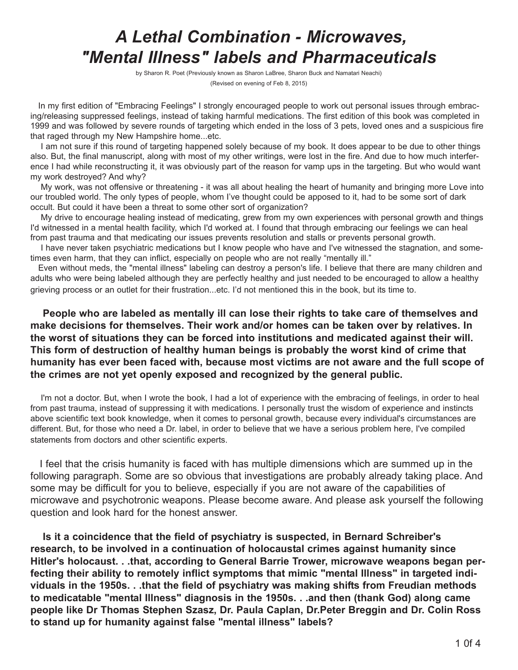# *A Lethal Combination - Microwaves, "Mental Illness" labels and Pharmaceuticals*

by Sharon R. Poet (Previously known as Sharon LaBree, Sharon Buck and Namatari Neachi) (Revised on evening of Feb 8, 2015)

In my first edition of "Embracing Feelings" I strongly encouraged people to work out personal issues through embracing/releasing suppressed feelings, instead of taking harmful medications. The first edition of this book was completed in 1999 and was followed by severe rounds of targeting which ended in the loss of 3 pets, loved ones and a suspicious fire that raged through my New Hampshire home...etc.

I am not sure if this round of targeting happened solely because of my book. It does appear to be due to other things also. But, the final manuscript, along with most of my other writings, were lost in the fire. And due to how much interference I had while reconstructing it, it was obviously part of the reason for vamp ups in the targeting. But who would want my work destroyed? And why?

My work, was not offensive or threatening - it was all about healing the heart of humanity and bringing more Love into our troubled world. The only types of people, whom I've thought could be apposed to it, had to be some sort of dark occult. But could it have been a threat to some other sort of organization?

My drive to encourage healing instead of medicating, grew from my own experiences with personal growth and things I'd witnessed in a mental health facility, which I'd worked at. I found that through embracing our feelings we can heal from past trauma and that medicating our issues prevents resolution and stalls or prevents personal growth.

I have never taken psychiatric medications but I know people who have and I've witnessed the stagnation, and sometimes even harm, that they can inflict, especially on people who are not really "mentally ill."

Even without meds, the "mental illness" labeling can destroy a person's life. I believe that there are many children and adults who were being labeled although they are perfectly healthy and just needed to be encouraged to allow a healthy grieving process or an outlet for their frustration...etc. I'd not mentioned this in the book, but its time to.

**People who are labeled as mentally ill can lose their rights to take care of themselves and make decisions for themselves. Their work and/or homes can be taken over by relatives. In the worst of situations they can be forced into institutions and medicated against their will. This form of destruction of healthy human beings is probably the worst kind of crime that humanity has ever been faced with, because most victims are not aware and the full scope of the crimes are not yet openly exposed and recognized by the general public.**

I'm not a doctor. But, when I wrote the book, I had a lot of experience with the embracing of feelings, in order to heal from past trauma, instead of suppressing it with medications. I personally trust the wisdom of experience and instincts above scientific text book knowledge, when it comes to personal growth, because every individual's circumstances are different. But, for those who need a Dr. label, in order to believe that we have a serious problem here, I've compiled statements from doctors and other scientific experts.

I feel that the crisis humanity is faced with has multiple dimensions which are summed up in the following paragraph. Some are so obvious that investigations are probably already taking place. And some may be difficult for you to believe, especially if you are not aware of the capabilities of microwave and psychotronic weapons. Please become aware. And please ask yourself the following question and look hard for the honest answer.

**Is it a coincidence that the field of psychiatry is suspected, in Bernard Schreiber's research, to be involved in a continuation of holocaustal crimes against humanity since Hitler's holocaust. . .that, according to General Barrie Trower, microwave weapons began perfecting their ability to remotely inflict symptoms that mimic "mental Illness" in targeted individuals in the 1950s. . .that the field of psychiatry was making shifts from Freudian methods to medicatable "mental Illness" diagnosis in the 1950s. . .and then (thank God) along came people like Dr Thomas Stephen Szasz, Dr. Paula Caplan, Dr.Peter Breggin and Dr. Colin Ross to stand up for humanity against false "mental illness" labels?**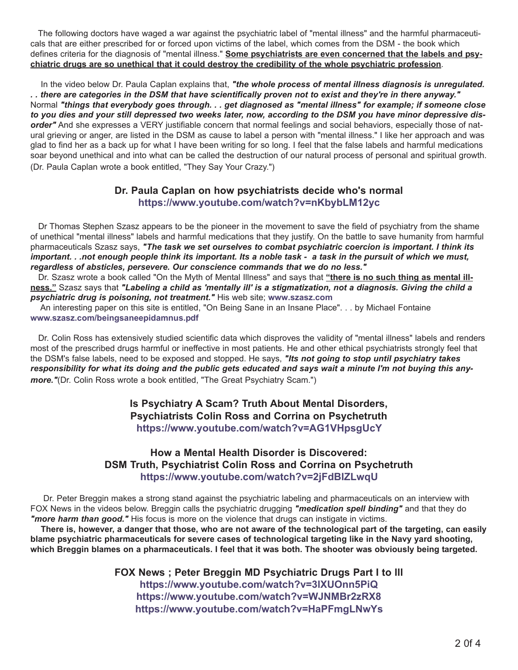The following doctors have waged a war against the psychiatric label of "mental illness" and the harmful pharmaceuticals that are either prescribed for or forced upon victims of the label, which comes from the DSM - the book which defines criteria for the diagnosis of "mental illness." **Some psychiatrists are even concerned that the labels and psychiatric drugs are so unethical that it could destroy the credibility of the whole psychiatric profession**.

In the video below Dr. Paula Caplan explains that, *"the whole process of mental illness diagnosis is unregulated. . . there are categories in the DSM that have scientifically proven not to exist and they're in there anyway."* Normal *"things that everybody goes through. . . get diagnosed as "mental illness" for example; if someone close to you dies and your still depressed two weeks later, now, according to the DSM you have minor depressive disorder"* And she expresses a VERY justifiable concern that normal feelings and social behaviors, especially those of natural grieving or anger, are listed in the DSM as cause to label a person with "mental illness." I like her approach and was glad to find her as a back up for what I have been writing for so long. I feel that the false labels and harmful medications soar beyond unethical and into what can be called the destruction of our natural process of personal and spiritual growth. (Dr. Paula Caplan wrote a book entitled, "They Say Your Crazy.")

#### **Dr. Paula Caplan on how psychiatrists decide who's normal <https://www.youtube.com/watch?v=nKbybLM12yc>**

Dr Thomas Stephen Szasz appears to be the pioneer in the movement to save the field of psychiatry from the shame of unethical "mental illness" labels and harmful medications that they justify. On the battle to save humanity from harmful pharmaceuticals Szasz says, *"The task we set ourselves to combat psychiatric coercion is important. I think its important. . .not enough people think its important. Its a noble task - a task in the pursuit of which we must, regardless of absticles, persevere. Our conscience commands that we do no less."*

Dr. Szasz wrote a book called "On the Myth of Mental Illness" and says that **"there is no such thing as mental illness."** Szasz says that *"Labeling a child as 'mentally ill' is a stigmatization, not a diagnosis. Giving the child a psychiatric drug is poisoning, not treatment."* His web site; **<www.szasz.com>**

An interesting paper on this site is entitled, "On Being Sane in an Insane Place". . . by Michael Fontaine **[www.szasz.com/beingsaneepidamnus.pdf](http://www.szasz.com/beingsaneepidamnus.pdf)**

Dr. Colin Ross has extensively studied scientific data which disproves the validity of "mental illness" labels and renders most of the prescribed drugs harmful or ineffective in most patients. He and other ethical psychiatrists strongly feel that the DSM's false labels, need to be exposed and stopped. He says, *"Its not going to stop until psychiatry takes responsibility for what its doing and the public gets educated and says wait a minute I'm not buying this anymore.*"(Dr. Colin Ross wrote a book entitled, "The Great Psychiatry Scam.")

#### **Is Psychiatry A Scam? Truth About Mental Disorders, Psychiatrists Colin Ross and Corrina on Psychetruth <https://www.youtube.com/watch?v=AG1VHpsgUcY>**

#### **How a Mental Health Disorder is Discovered: DSM Truth, Psychiatrist Colin Ross and Corrina on Psychetruth <https://www.youtube.com/watch?v=2jFdBIZLwqU>**

Dr. Peter Breggin makes a strong stand against the psychiatric labeling and pharmaceuticals on an interview with FOX News in the videos below. Breggin calls the psychiatric drugging *"medication spell binding"* and that they do *"more harm than good."* His focus is more on the violence that drugs can instigate in victims.

**There is, however, a danger that those, who are not aware of the technological part of the targeting, can easily blame psychiatric pharmaceuticals for severe cases of technological targeting like in the Navy yard shooting, which Breggin blames on a pharmaceuticals. I feel that it was both. The shooter was obviously being targeted.**

> **FOX News ; Peter Breggin MD Psychiatric Drugs Part I to lll <https://www.youtube.com/watch?v=3lXUOnn5PiQ> <https://www.youtube.com/watch?v=WJNMBr2zRX8> <https://www.youtube.com/watch?v=HaPFmgLNwYs>**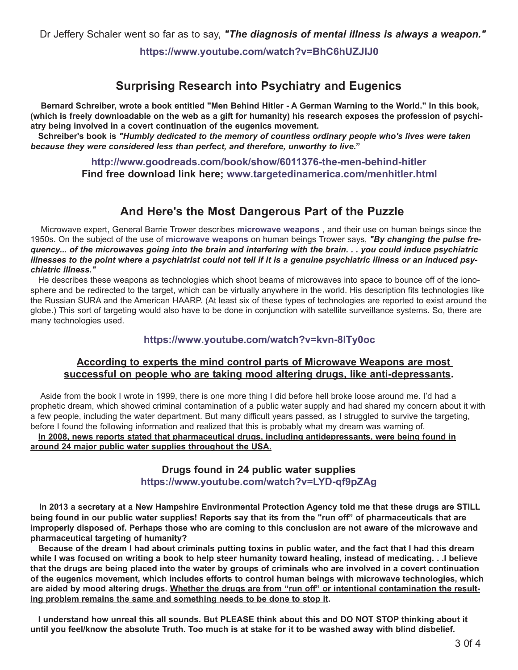**<https://www.youtube.com/watch?v=BhC6hUZJIJ0>**

## **Surprising Research into Psychiatry and Eugenics**

**Bernard Schreiber, wrote a book entitled "Men Behind Hitler - A German Warning to the World." In this book, (which is freely downloadable on the web as a gift for humanity) his research exposes the profession of psychiatry being involved in a covert continuation of the eugenics movement.** 

**Schreiber's book is** *"Humbly dedicated to the memory of countless ordinary people who's lives were taken because they were considered less than perfect, and therefore, unworthy to live***."**

> **<http://www.goodreads.com/book/show/6011376-the-men-behind-hitler> Find free download link here; [www.targetedinamerica.com/menhitler.html](http://www.targetedinamerica.com/menhitler.html)**

### **And Here's the Most Dangerous Part of the Puzzle**

Microwave expert, General Barrie Trower describes **[microwave weapons](http://www.targetedinamerica.com/weapons.htm)** , and their use on human beings since the 1950s. On the subject of the use of **[microwave weapons](http://www.targetedinamerica.com/weapons.htm)** on human beings Trower says, *"By changing the pulse frequency... of the microwaves going into the brain and interfering with the brain. . . you could induce psychiatric illnesses to the point where a psychiatrist could not tell if it is a genuine psychiatric illness or an induced psychiatric illness."*

He describes these weapons as technologies which shoot beams of microwaves into space to bounce off of the ionosphere and be redirected to the target, which can be virtually anywhere in the world. His description fits technologies like the Russian SURA and the American HAARP. (At least six of these types of technologies are reported to exist around the globe.) This sort of targeting would also have to be done in conjunction with satellite surveillance systems. So, there are many technologies used.

#### **<https://www.youtube.com/watch?v=kvn-8ITy0oc>**

#### **According to experts the mind control parts of Microwave Weapons are most successful on people who are taking mood altering drugs, like anti-depressants.**

Aside from the book I wrote in 1999, there is one more thing I did before hell broke loose around me. I'd had a prophetic dream, which showed criminal contamination of a public water supply and had shared my concern about it with a few people, including the water department. But many difficult years passed, as I struggled to survive the targeting, before I found the following information and realized that this is probably what my dream was warning of. **In 2008, news reports stated that pharmaceutical drugs, including antidepressants, were being found in**

**around 24 major public water supplies throughout the USA.**

#### **Drugs found in 24 public water supplies <https://www.youtube.com/watch?v=LYD-qf9pZAg>**

**In 2013 a secretary at a New Hampshire Environmental Protection Agency told me that these drugs are STILL being found in our public water supplies! Reports say that its from the "run off" of pharmaceuticals that are improperly disposed of. Perhaps those who are coming to this conclusion are not aware of the microwave and pharmaceutical targeting of humanity?**

**Because of the dream I had about criminals putting toxins in public water, and the fact that I had this dream while I was focused on writing a book to help steer humanity toward healing, instead of medicating. . .I believe that the drugs are being placed into the water by groups of criminals who are involved in a covert continuation of the eugenics movement, which includes efforts to control human beings with microwave technologies, which** are aided by mood altering drugs. Whether the drugs are from "run off" or intentional contamination the result**ing problem remains the same and something needs to be done to stop it.**

**I understand how unreal this all sounds. But PLEASE think about this and DO NOT STOP thinking about it until you feel/know the absolute Truth. Too much is at stake for it to be washed away with blind disbelief.**